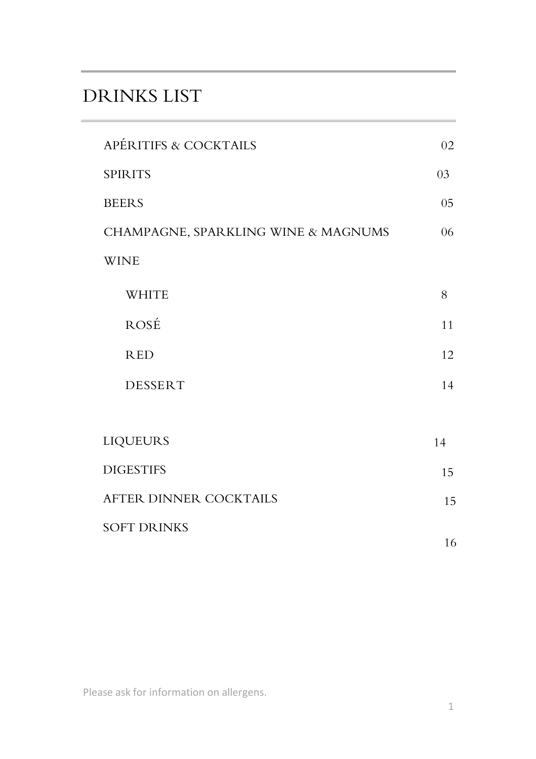# DRINKS LIST

| APÉRITIFS & COCKTAILS               | 02 |
|-------------------------------------|----|
| <b>SPIRITS</b>                      | 03 |
| <b>BEERS</b>                        | 05 |
| CHAMPAGNE, SPARKLING WINE & MAGNUMS | 06 |
| <b>WINE</b>                         |    |
| <b>WHITE</b>                        | 8  |
| ROSÉ                                | 11 |
| <b>RED</b>                          | 12 |
| <b>DESSERT</b>                      | 14 |
|                                     |    |
| <b>LIQUEURS</b>                     | 14 |
| <b>DIGESTIFS</b>                    | 15 |
| AFTER DINNER COCKTAILS              | 15 |
| <b>SOFT DRINKS</b>                  |    |
|                                     | 16 |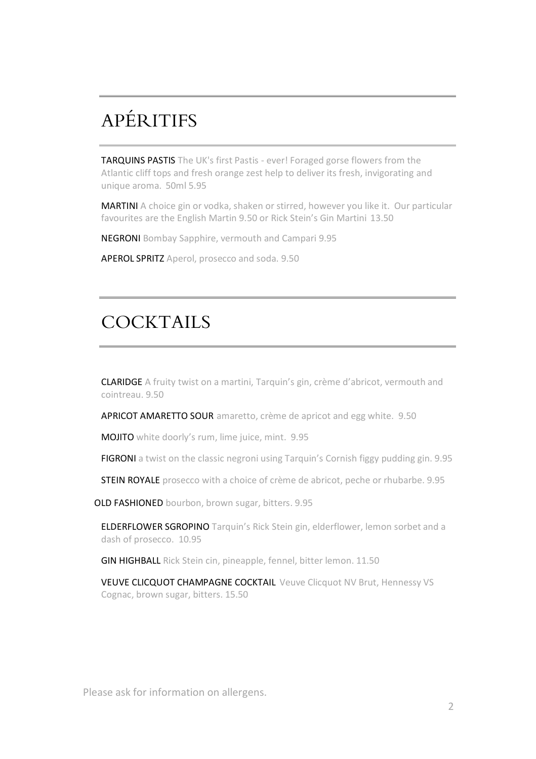# APÉRITIFS

TARQUINS PASTIS The UK's first Pastis - ever! Foraged gorse flowers from the Atlantic cliff tops and fresh orange zest help to deliver its fresh, invigorating and unique aroma. 50ml 5.95

MARTINI A choice gin or vodka, shaken or stirred, however you like it. Our particular favourites are the English Martin 9.50 or Rick Stein's Gin Martini 13.50

NEGRONI Bombay Sapphire, vermouth and Campari 9.95

APEROL SPRITZ Aperol, prosecco and soda. 9.50

## **COCKTAILS**

CLARIDGE A fruity twist on a martini, Tarquin's gin, crème d'abricot, vermouth and cointreau. 9.50

APRICOT AMARETTO SOUR amaretto, crème de apricot and egg white. 9.50

MOJITO white doorly's rum, lime juice, mint. 9.95

FIGRONI a twist on the classic negroni using Tarquin's Cornish figgy pudding gin. 9.95

**STEIN ROYALE** prosecco with a choice of crème de abricot, peche or rhubarbe. 9.95

OLD FASHIONED bourbon, brown sugar, bitters. 9.95

ELDERFLOWER SGROPINO Tarquin's Rick Stein gin, elderflower, lemon sorbet and a dash of prosecco. 10.95

GIN HIGHBALL Rick Stein cin, pineapple, fennel, bitter lemon. 11.50

VEUVE CLICQUOT CHAMPAGNE COCKTAIL Veuve Clicquot NV Brut, Hennessy VS Cognac, brown sugar, bitters. 15.50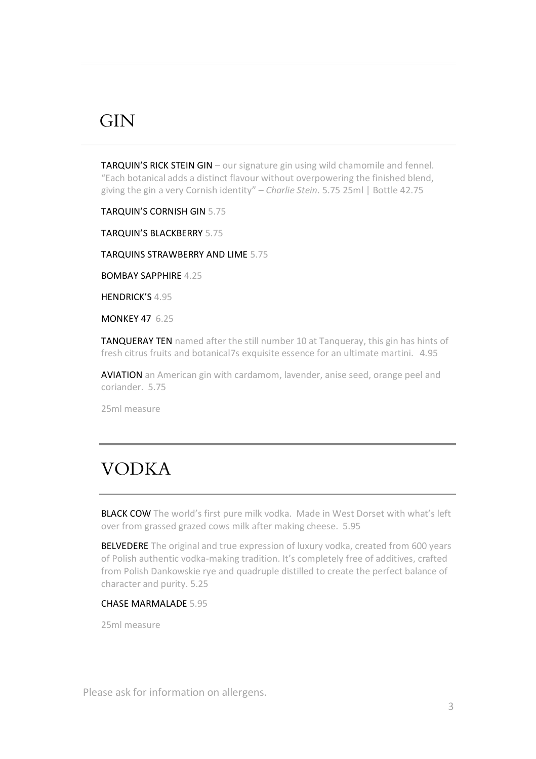### **GIN**

TARQUIN'S RICK STEIN GIN – our signature gin using wild chamomile and fennel. "Each botanical adds a distinct flavour without overpowering the finished blend, giving the gin a very Cornish identity" – *Charlie Stein*. 5.75 25ml | Bottle 42.75

TARQUIN'S CORNISH GIN 5.75

TARQUIN'S BLACKBERRY 5.75

TARQUINS STRAWBERRY AND LIME 5.75

BOMBAY SAPPHIRE 4.25

HENDRICK'S  $4.95$ 

MONKEY 47 6.25

TANQUERAY TEN named after the still number 10 at Tangueray, this gin has hints of fresh citrus fruits and botanical7s exquisite essence for an ultimate martini. 4.95

AVIATION an American gin with cardamom, lavender, anise seed, orange peel and coriander. 5.75

25ml measure

# VODKA

BLACK COW The world's first pure milk vodka. Made in West Dorset with what's left over from grassed grazed cows milk after making cheese. 5.95

BELVEDERE The original and true expression of luxury vodka, created from 600 years of Polish authentic vodka-making tradition. It's completely free of additives, crafted from Polish Dankowskie rye and quadruple distilled to create the perfect balance of character and purity. 5.25

### CHASE MARMALADE 5.95

25ml measure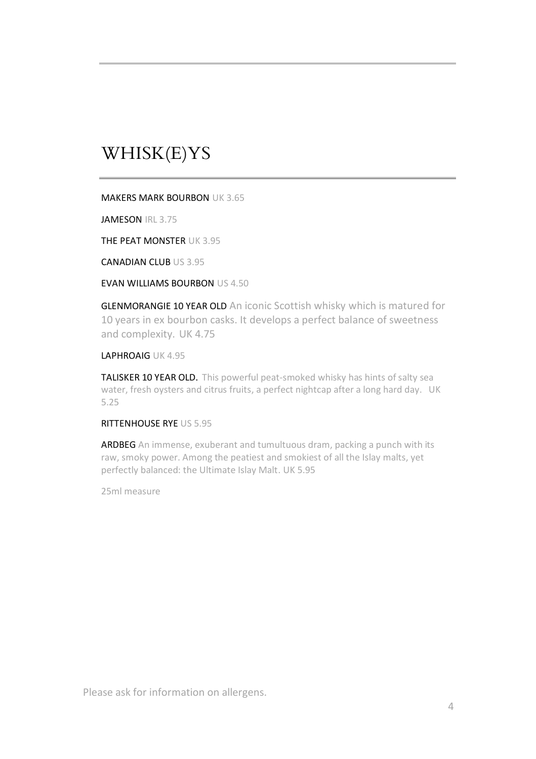# WHISK(E)YS

MAKERS MARK BOURBON UK 3.65

JAMESON IRL 3.75

THE PEAT MONSTER UK 3.95

CANADIAN CLUB US 3.95

EVAN WILLIAMS BOURBON US 4.50

GLENMORANGIE 10 YEAR OLD An iconic Scottish whisky which is matured for 10 years in ex bourbon casks. It develops a perfect balance of sweetness and complexity. UK 4.75

LAPHROAIG UK 4.95

TALISKER 10 YEAR OLD. This powerful peat-smoked whisky has hints of salty sea water, fresh oysters and citrus fruits, a perfect nightcap after a long hard day. UK 5.25

RITTENHOUSE RYE US 5.95

ARDBEG An immense, exuberant and tumultuous dram, packing a punch with its raw, smoky power. Among the peatiest and smokiest of all the Islay malts, yet perfectly balanced: the Ultimate Islay Malt. UK 5.95

25ml measure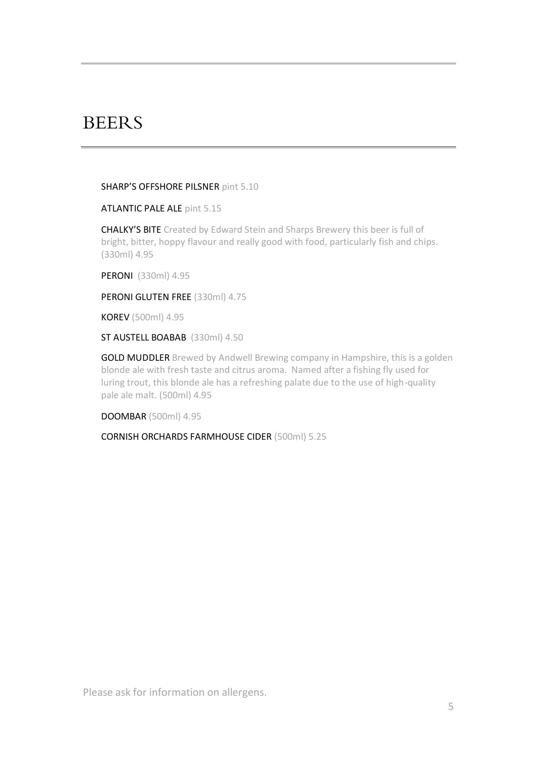### **BEERS**

SHARP'S OFFSHORE PILSNER pint 5.10

ATLANTIC PALE ALE pint 5.15

CHALKY'S BITE Created by Edward Stein and Sharps Brewery this beer is full of bright, bitter, hoppy flavour and really good with food, particularly fish and chips. (330ml) 4.95

PERONI (330ml) 4.95

PERONI GLUTEN FREE (330ml) 4.75

KOREV (500ml) 4.95

ST AUSTELL BOABAB (330ml) 4.50

**GOLD MUDDLER** Brewed by Andwell Brewing company in Hampshire, this is a golden blonde ale with fresh taste and citrus aroma. Named after a fishing fly used for luring trout, this blonde ale has a refreshing palate due to the use of high-quality pale ale malt. (500ml) 4.95

DOOMBAR (500ml) 4.95

CORNISH ORCHARDS FARMHOUSE CIDER (500ml) 5.25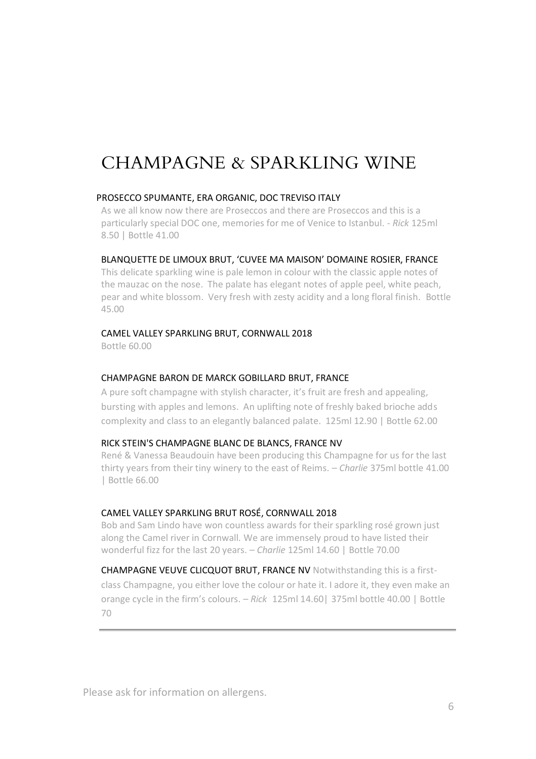# CHAMPAGNE & SPARKLING WINE

#### PROSECCO SPUMANTE, ERA ORGANIC, DOC TREVISO ITALY

As we all know now there are Proseccos and there are Proseccos and this is a particularly special DOC one, memories for me of Venice to Istanbul. - *Rick* 125ml 8.50 | Bottle 41.00

#### BLANQUETTE DE LIMOUX BRUT, 'CUVEE MA MAISON' DOMAINE ROSIER, FRANCE

This delicate sparkling wine is pale lemon in colour with the classic apple notes of the mauzac on the nose. The palate has elegant notes of apple peel, white peach, pear and white blossom. Very fresh with zesty acidity and a long floral finish. Bottle 45.00

#### CAMEL VALLEY SPARKLING BRUT, CORNWALL 2018

Bottle 60.00

#### CHAMPAGNE BARON DE MARCK GOBILLARD BRUT, FRANCE

A pure soft champagne with stylish character, it's fruit are fresh and appealing, bursting with apples and lemons. An uplifting note of freshly baked brioche adds complexity and class to an elegantly balanced palate. 125ml 12.90 | Bottle 62.00

#### RICK STEIN'S CHAMPAGNE BLANC DE BLANCS, FRANCE NV

René & Vanessa Beaudouin have been producing this Champagne for us for the last thirty years from their tiny winery to the east of Reims. – *Charlie* 375ml bottle 41.00 | Bottle 66.00

### CAMEL VALLEY SPARKLING BRUT ROSÉ, CORNWALL 2018

Bob and Sam Lindo have won countless awards for their sparkling rosé grown just along the Camel river in Cornwall. We are immensely proud to have listed their wonderful fizz for the last 20 years. – *Charlie* 125ml 14.60 | Bottle 70.00

CHAMPAGNE VEUVE CLICQUOT BRUT, FRANCE NV Notwithstanding this is a firstclass Champagne, you either love the colour or hate it. I adore it, they even make an orange cycle in the firm's colours. – *Rick* 125ml 14.60| 375ml bottle 40.00 | Bottle 70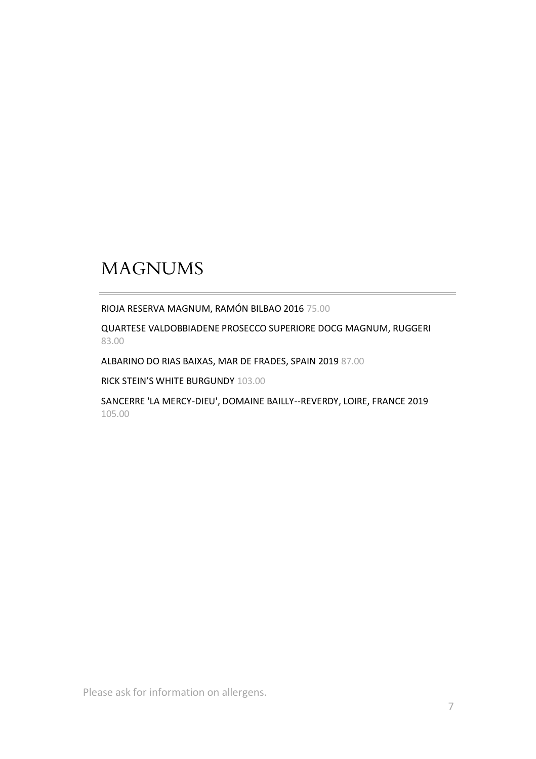# MAGNUMS

RIOJA RESERVA MAGNUM, RAMÓN BILBAO 2016 75.00

QUARTESE VALDOBBIADENE PROSECCO SUPERIORE DOCG MAGNUM, RUGGERI 83.00

ALBARINO DO RIAS BAIXAS, MAR DE FRADES, SPAIN 2019 87.00

RICK STEIN'S WHITE BURGUNDY 103.00

SANCERRE 'LA MERCY-DIEU', DOMAINE BAILLY--REVERDY, LOIRE, FRANCE 2019 105.00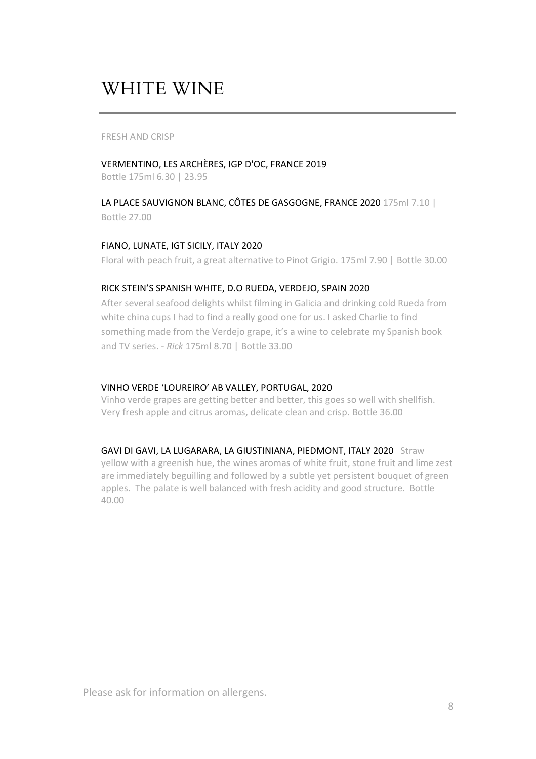## WHITE WINE

FRESH AND CRISP

### VERMENTINO, LES ARCHÈRES, IGP D'OC, FRANCE 2019

Bottle 175ml 6.30 | 23.95

### LA PLACE SAUVIGNON BLANC, CÔTES DE GASGOGNE, FRANCE 2020 175ml 7.10 | Bottle 27.00

### FIANO, LUNATE, IGT SICILY, ITALY 2020

Floral with peach fruit, a great alternative to Pinot Grigio. 175ml 7.90 | Bottle 30.00

#### RICK STEIN'S SPANISH WHITE, D.O RUEDA, VERDEJO, SPAIN 2020

After several seafood delights whilst filming in Galicia and drinking cold Rueda from white china cups I had to find a really good one for us. I asked Charlie to find something made from the Verdejo grape, it's a wine to celebrate my Spanish book and TV series. - *Rick* 175ml 8.70 | Bottle 33.00

### VINHO VERDE 'LOUREIRO' AB VALLEY, PORTUGAL, 2020

Vinho verde grapes are getting better and better, this goes so well with shellfish. Very fresh apple and citrus aromas, delicate clean and crisp. Bottle 36.00

#### GAVI DI GAVI, LA LUGARARA, LA GIUSTINIANA, PIEDMONT, ITALY 2020 Straw

yellow with a greenish hue, the wines aromas of white fruit, stone fruit and lime zest are immediately beguilling and followed by a subtle yet persistent bouquet of green apples. The palate is well balanced with fresh acidity and good structure. Bottle 40.00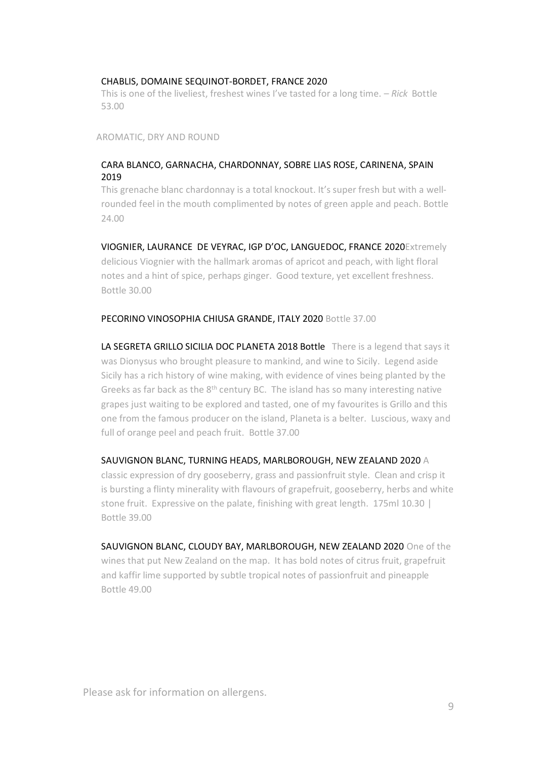#### CHABLIS, DOMAINE SEQUINOT-BORDET, FRANCE 2020

This is one of the liveliest, freshest wines I've tasted for a long time. – *Rick* Bottle 53.00

AROMATIC, DRY AND ROUND

### CARA BLANCO, GARNACHA, CHARDONNAY, SOBRE LIAS ROSE, CARINENA, SPAIN 2019

This grenache blanc chardonnay is a total knockout. It's super fresh but with a wellrounded feel in the mouth complimented by notes of green apple and peach. Bottle 24.00

VIOGNIER, LAURANCE DE VEYRAC, IGP D'OC, LANGUEDOC, FRANCE 2020Extremely delicious Viognier with the hallmark aromas of apricot and peach, with light floral notes and a hint of spice, perhaps ginger. Good texture, yet excellent freshness. Bottle 30.00

#### PECORINO VINOSOPHIA CHIUSA GRANDE, ITALY 2020 Bottle 37.00

LA SEGRETA GRILLO SICILIA DOC PLANETA 2018 Bottle There is a legend that says it was Dionysus who brought pleasure to mankind, and wine to Sicily. Legend aside Sicily has a rich history of wine making, with evidence of vines being planted by the Greeks as far back as the 8<sup>th</sup> century BC. The island has so many interesting native grapes just waiting to be explored and tasted, one of my favourites is Grillo and this one from the famous producer on the island, Planeta is a belter. Luscious, waxy and full of orange peel and peach fruit. Bottle 37.00

#### SAUVIGNON BLANC, TURNING HEADS, MARLBOROUGH, NEW ZEALAND 2020 A

classic expression of dry gooseberry, grass and passionfruit style. Clean and crisp it is bursting a flinty minerality with flavours of grapefruit, gooseberry, herbs and white stone fruit. Expressive on the palate, finishing with great length. 175ml 10.30 | Bottle 39.00

SAUVIGNON BLANC, CLOUDY BAY, MARLBOROUGH, NEW ZEALAND 2020 One of the wines that put New Zealand on the map. It has bold notes of citrus fruit, grapefruit and kaffir lime supported by subtle tropical notes of passionfruit and pineapple Bottle 49.00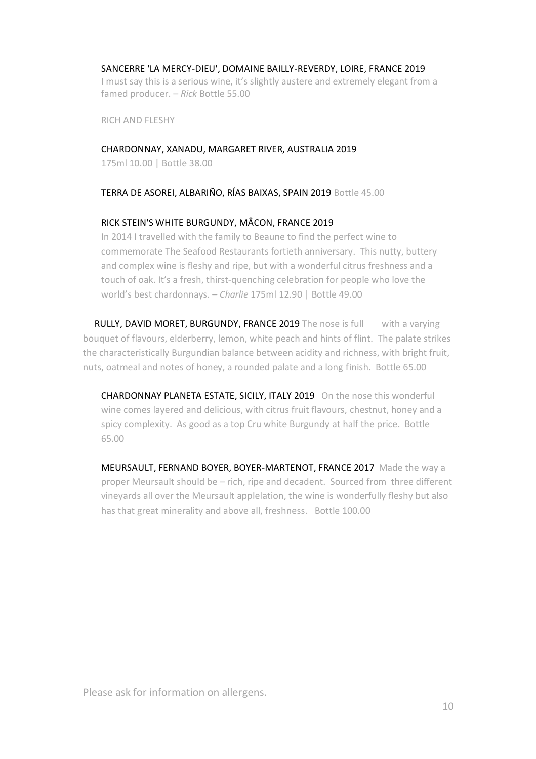#### SANCERRE 'LA MERCY-DIEU', DOMAINE BAILLY-REVERDY, LOIRE, FRANCE 2019

I must say this is a serious wine, it's slightly austere and extremely elegant from a famed producer. – *Rick* Bottle 55.00

RICH AND FLESHY

#### CHARDONNAY, XANADU, MARGARET RIVER, AUSTRALIA 2019

175ml 10.00 | Bottle 38.00

TERRA DE ASOREI, ALBARIÑO, RÍAS BAIXAS, SPAIN 2019 Bottle 45.00

#### RICK STEIN'S WHITE BURGUNDY, MÂCON, FRANCE 2019

In 2014 I travelled with the family to Beaune to find the perfect wine to commemorate The Seafood Restaurants fortieth anniversary. This nutty, buttery and complex wine is fleshy and ripe, but with a wonderful citrus freshness and a touch of oak. It's a fresh, thirst-quenching celebration for people who love the world's best chardonnays. – *Charlie* 175ml 12.90 | Bottle 49.00

RULLY, DAVID MORET, BURGUNDY, FRANCE 2019 The nose is full with a varying bouquet of flavours, elderberry, lemon, white peach and hints of flint. The palate strikes the characteristically Burgundian balance between acidity and richness, with bright fruit, nuts, oatmeal and notes of honey, a rounded palate and a long finish. Bottle 65.00

CHARDONNAY PLANETA ESTATE, SICILY, ITALY 2019 On the nose this wonderful wine comes layered and delicious, with citrus fruit flavours, chestnut, honey and a spicy complexity. As good as a top Cru white Burgundy at half the price. Bottle 65.00

MEURSAULT, FERNAND BOYER, BOYER-MARTENOT, FRANCE 2017 Made the way a proper Meursault should be – rich, ripe and decadent. Sourced from three different vineyards all over the Meursault applelation, the wine is wonderfully fleshy but also has that great minerality and above all, freshness. Bottle 100.00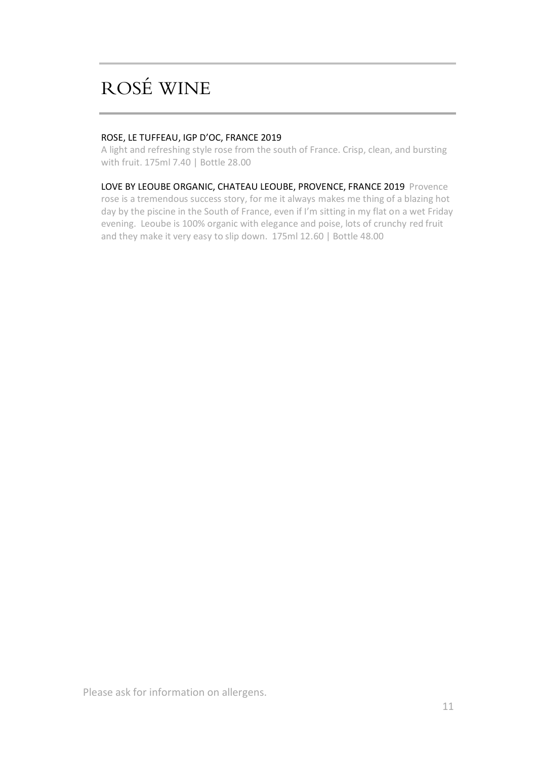# ROSÉ WINE

### ROSE, LE TUFFEAU, IGP D'OC, FRANCE 2019

A light and refreshing style rose from the south of France. Crisp, clean, and bursting with fruit. 175ml 7.40 | Bottle 28.00

LOVE BY LEOUBE ORGANIC, CHATEAU LEOUBE, PROVENCE, FRANCE 2019 Provence rose is a tremendous success story, for me it always makes me thing of a blazing hot day by the piscine in the South of France, even if I'm sitting in my flat on a wet Friday evening. Leoube is 100% organic with elegance and poise, lots of crunchy red fruit and they make it very easy to slip down. 175ml 12.60 | Bottle 48.00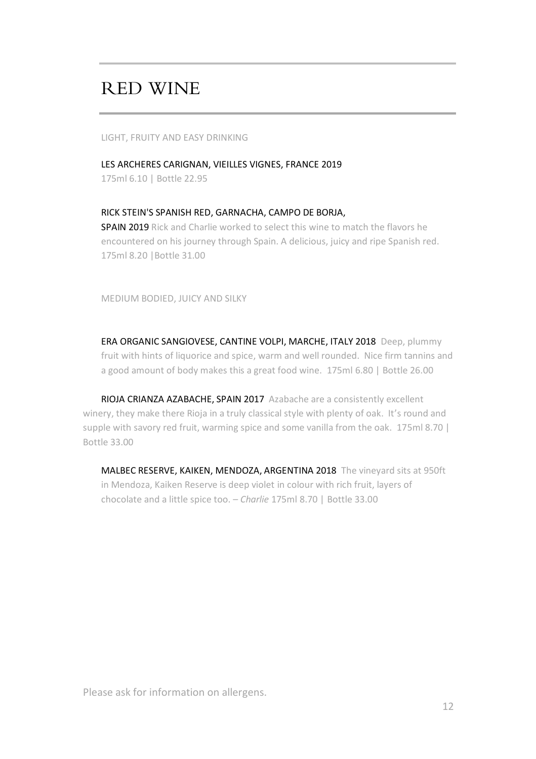## RED WINE

LIGHT, FRUITY AND EASY DRINKING

LES ARCHERES CARIGNAN, VIEILLES VIGNES, FRANCE 2019 175ml 6.10 | Bottle 22.95

#### RICK STEIN'S SPANISH RED, GARNACHA, CAMPO DE BORJA,

SPAIN 2019 Rick and Charlie worked to select this wine to match the flavors he encountered on his journey through Spain. A delicious, juicy and ripe Spanish red. 175ml 8.20 |Bottle 31.00

MEDIUM BODIED, JUICY AND SILKY

ERA ORGANIC SANGIOVESE, CANTINE VOLPI, MARCHE, ITALY 2018 Deep, plummy fruit with hints of liquorice and spice, warm and well rounded. Nice firm tannins and a good amount of body makes this a great food wine. 175ml 6.80 | Bottle 26.00

RIOJA CRIANZA AZABACHE, SPAIN 2017 Azabache are a consistently excellent winery, they make there Rioja in a truly classical style with plenty of oak. It's round and supple with savory red fruit, warming spice and some vanilla from the oak. 175ml 8.70 | Bottle 33.00

MALBEC RESERVE, KAIKEN, MENDOZA, ARGENTINA 2018 The vineyard sits at 950ft in Mendoza, Kaiken Reserve is deep violet in colour with rich fruit, layers of chocolate and a little spice too. – *Charlie* 175ml 8.70 | Bottle 33.00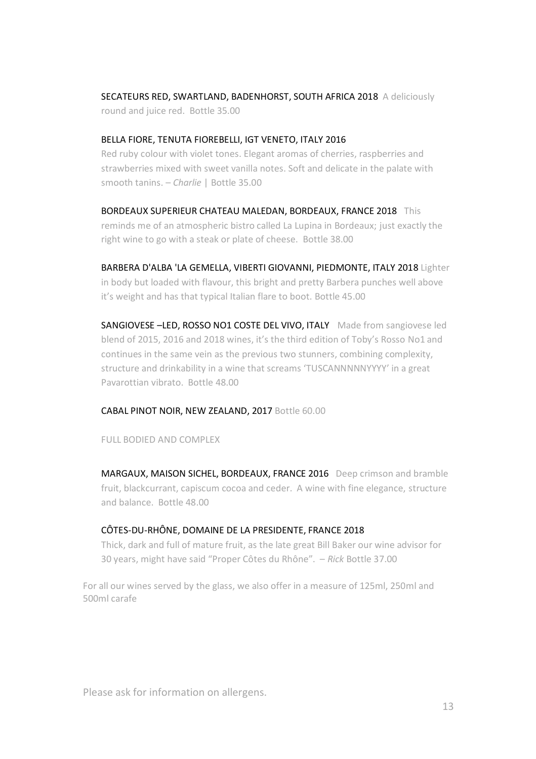SECATEURS RED, SWARTLAND, BADENHORST, SOUTH AFRICA 2018 A deliciously round and juice red. Bottle 35.00

### BELLA FIORE, TENUTA FIOREBELLI, IGT VENETO, ITALY 2016

Red ruby colour with violet tones. Elegant aromas of cherries, raspberries and strawberries mixed with sweet vanilla notes. Soft and delicate in the palate with smooth tanins. – *Charlie* | Bottle 35.00

BORDEAUX SUPERIEUR CHATEAU MALEDAN, BORDEAUX, FRANCE 2018 This reminds me of an atmospheric bistro called La Lupina in Bordeaux; just exactly the right wine to go with a steak or plate of cheese. Bottle 38.00

BARBERA D'ALBA 'LA GEMELLA, VIBERTI GIOVANNI, PIEDMONTE, ITALY 2018 Lighter in body but loaded with flavour, this bright and pretty Barbera punches well above it's weight and has that typical Italian flare to boot. Bottle 45.00

SANGIOVESE-LED, ROSSO NO1 COSTE DEL VIVO, ITALY Made from sangiovese led blend of 2015, 2016 and 2018 wines, it's the third edition of Toby's Rosso No1 and continues in the same vein as the previous two stunners, combining complexity, structure and drinkability in a wine that screams 'TUSCANNNNNYYYY' in a great Pavarottian vibrato. Bottle 48.00

#### CABAL PINOT NOIR, NEW ZEALAND, 2017 Bottle 60.00

FULL BODIED AND COMPLEX

MARGAUX, MAISON SICHEL, BORDEAUX, FRANCE 2016 Deep crimson and bramble fruit, blackcurrant, capiscum cocoa and ceder. A wine with fine elegance, structure and balance. Bottle 48.00

#### CÔTES-DU-RHÔNE, DOMAINE DE LA PRESIDENTE, FRANCE 2018

Thick, dark and full of mature fruit, as the late great Bill Baker our wine advisor for 30 years, might have said "Proper Côtes du Rhône". – *Rick* Bottle 37.00

For all our wines served by the glass, we also offer in a measure of 125ml, 250ml and 500ml carafe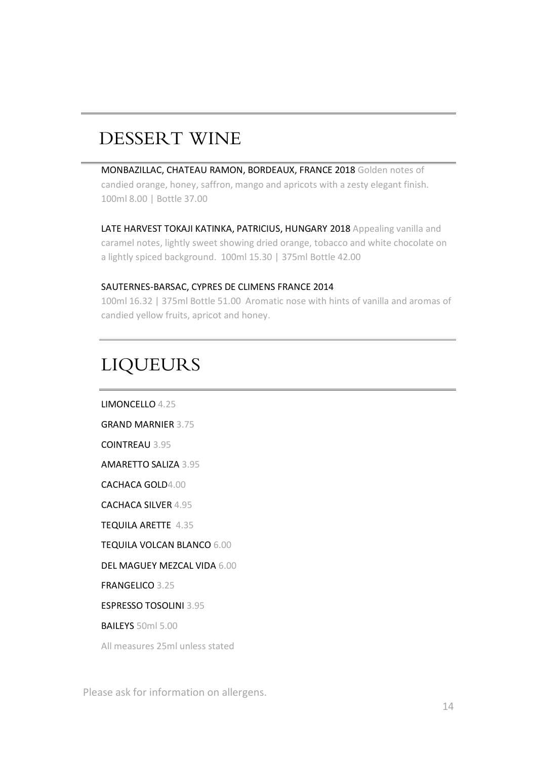# DESSERT WINE

MONBAZILLAC, CHATEAU RAMON, BORDEAUX, FRANCE 2018 Golden notes of candied orange, honey, saffron, mango and apricots with a zesty elegant finish. 100ml 8.00 | Bottle 37.00

LATE HARVEST TOKAJI KATINKA, PATRICIUS, HUNGARY 2018 Appealing vanilla and caramel notes, lightly sweet showing dried orange, tobacco and white chocolate on a lightly spiced background. 100ml 15.30 | 375ml Bottle 42.00

### SAUTERNES-BARSAC, CYPRES DE CLIMENS FRANCE 2014

100ml 16.32 | 375ml Bottle 51.00 Aromatic nose with hints of vanilla and aromas of candied yellow fruits, apricot and honey.

# LIQUEURS

LIMONCELLO 4.25 GRAND MARNIER 3.75 COINTREAU 3.95 AMARETTO SALIZA 3.95 CACHACA GOLD4.00 CACHACA SILVER 4.95 TEQUILA ARETTE 4.35 TEQUILA VOLCAN BLANCO 6.00 DEL MAGUEY MEZCAL VIDA 6.00 FRANGELICO 3.25 ESPRESSO TOSOLINI 3.95 BAILEYS 50ml 5.00 All measures 25ml unless stated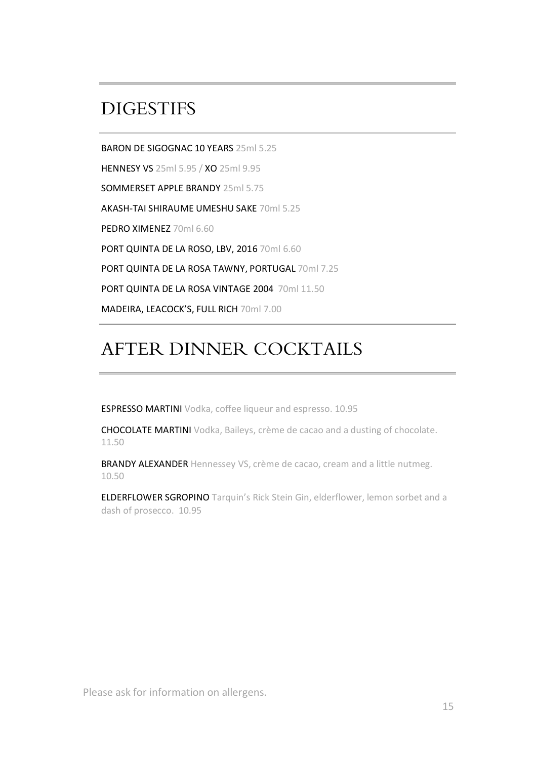## **DIGESTIES**

BARON DE SIGOGNAC 10 YEARS 25ml 5.25

HENNESY VS 25ml 5.95 / XO 25ml 9.95

SOMMERSET APPLE BRANDY 25ml 5.75

AKASH-TAI SHIRAUME UMESHU SAKE 70ml 5.25

PEDRO XIMENEZ 70ml 6.60

PORT QUINTA DE LA ROSO, LBV, 2016 70ml 6.60

PORT QUINTA DE LA ROSA TAWNY, PORTUGAL 70ml 7.25

PORT QUINTA DE LA ROSA VINTAGE 2004 70ml 11.50

MADEIRA, LEACOCK'S, FULL RICH 70ml 7.00

# AFTER DINNER COCKTAILS

ESPRESSO MARTINI Vodka, coffee liqueur and espresso. 10.95

CHOCOLATE MARTINI Vodka, Baileys, crème de cacao and a dusting of chocolate. 11.50

BRANDY ALEXANDER Hennessey VS, crème de cacao, cream and a little nutmeg. 10.50

ELDERFLOWER SGROPINO Tarquin's Rick Stein Gin, elderflower, lemon sorbet and a dash of prosecco. 10.95